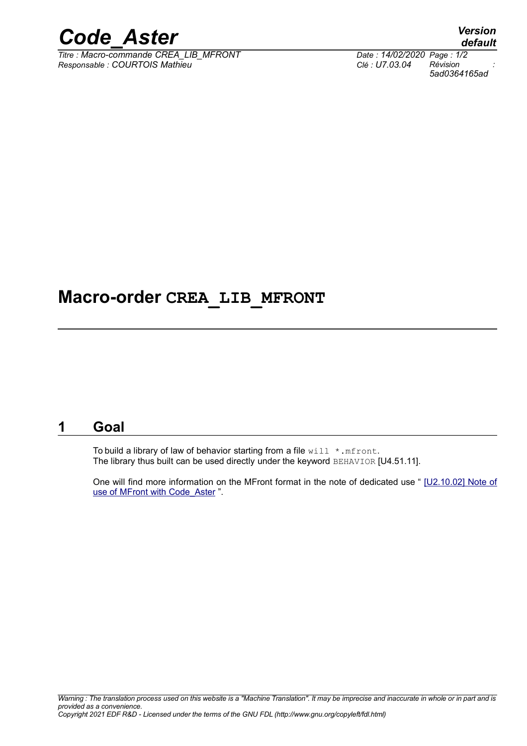

*Titre : Macro-commande CREA\_LIB\_MFRONT Date : 14/02/2020 Page : 1/2 Responsable : COURTOIS Mathieu Clé : U7.03.04 Révision :*

*default 5ad0364165ad*

## **Macro-order CREA\_LIB\_MFRONT**

### **1 Goal**

To build a library of law of behavior starting from a file  $\text{will } * \text{.mfront.}$ The library thus built can be used directly under the keyword BEHAVIOR [U4.51.11].

One will find more information on the MFront format in the note of dedicated use " [\[U2.10.02\] Note of](https://www.code-aster.org/V2/doc/default/fr/man_u/u2/u2.10.02.pdf) [use of MFront with Code\\_Aster](https://www.code-aster.org/V2/doc/default/fr/man_u/u2/u2.10.02.pdf) ".